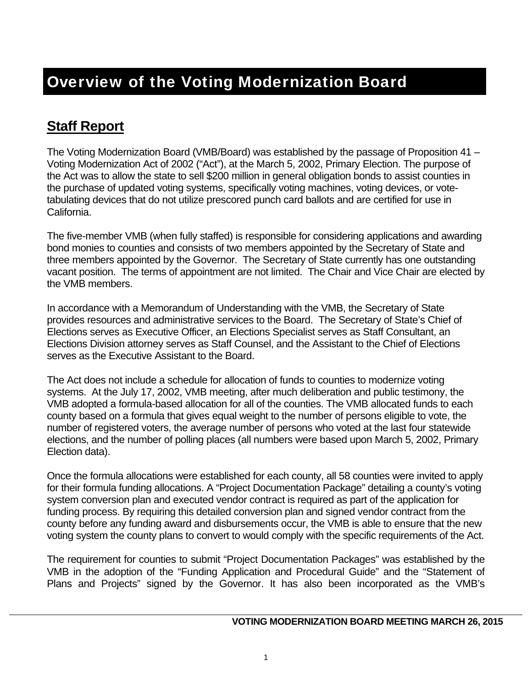## **Staff Report**

The Voting Modernization Board (VMB/Board) was established by the passage of Proposition 41 – Voting Modernization Act of 2002 ("Act"), at the March 5, 2002, Primary Election. The purpose of the Act was to allow the state to sell \$200 million in general obligation bonds to assist counties in the purchase of updated voting systems, specifically voting machines, voting devices, or votetabulating devices that do not utilize prescored punch card ballots and are certified for use in California.

The five-member VMB (when fully staffed) is responsible for considering applications and awarding bond monies to counties and consists of two members appointed by the Secretary of State and three members appointed by the Governor. The Secretary of State currently has one outstanding vacant position. The terms of appointment are not limited. The Chair and Vice Chair are elected by the VMB members.

In accordance with a Memorandum of Understanding with the VMB, the Secretary of State provides resources and administrative services to the Board. The Secretary of State's Chief of Elections serves as Executive Officer, an Elections Specialist serves as Staff Consultant, an Elections Division attorney serves as Staff Counsel, and the Assistant to the Chief of Elections serves as the Executive Assistant to the Board.

The Act does not include a schedule for allocation of funds to counties to modernize voting systems. At the July 17, 2002, VMB meeting, after much deliberation and public testimony, the VMB adopted a formula-based allocation for all of the counties. The VMB allocated funds to each county based on a formula that gives equal weight to the number of persons eligible to vote, the number of registered voters, the average number of persons who voted at the last four statewide elections, and the number of polling places (all numbers were based upon March 5, 2002, Primary Election data).

Once the formula allocations were established for each county, all 58 counties were invited to apply for their formula funding allocations. A "Project Documentation Package" detailing a county's voting system conversion plan and executed vendor contract is required as part of the application for funding process. By requiring this detailed conversion plan and signed vendor contract from the county before any funding award and disbursements occur, the VMB is able to ensure that the new voting system the county plans to convert to would comply with the specific requirements of the Act.

The requirement for counties to submit "Project Documentation Packages" was established by the VMB in the adoption of the "Funding Application and Procedural Guide" and the "Statement of Plans and Projects" signed by the Governor. It has also been incorporated as the VMB's